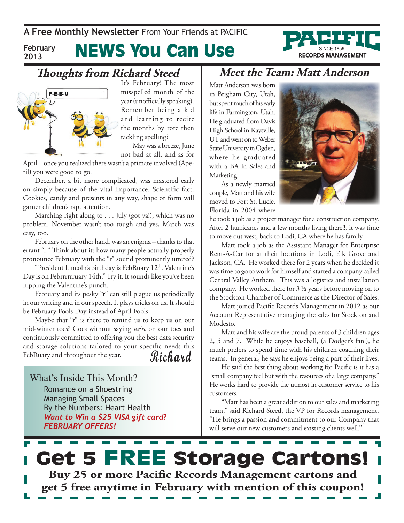**A Free Monthly Newsletter** From Your Friends at Pacific

**February 2013**

# News You Can Use

### **Thoughts from Richard Steed**



It's February! The most misspelled month of the year (unofficially speaking). Remember being a kid and learning to recite the months by rote then tackling spelling? May was a breeze, June

not bad at all, and as for

April – once you realized there wasn't a primate involved (Aperil) you were good to go.

December, a bit more complicated, was mastered early on simply because of the vital importance. Scientific fact: Cookies, candy and presents in any way, shape or form will garner children's rapt attention.

Marching right along to . . . July (got ya!), which was no problem. November wasn't too tough and yes, March was easy, too.

February on the other hand, was an enigma – thanks to that errant "r." Think about it: how many people actually properly pronounce February with the "r" sound prominently uttered?

"President Lincoln's birthday is FebRuary 12<sup>th</sup>. Valentine's Day is on Febrrrrrruary 14th." Try it. It sounds like you've been nipping the Valentine's punch.

February and its pesky "r" can still plague us periodically in our writing and in our speech. It plays tricks on us. It should be February Fools Day instead of April Fools.

**Richard** Maybe that "r" is there to remind us to keep us on our mid-winter toes? Goes without saying *we're* on our toes and continuously committed to offering you the best data security and storage solutions tailored to your specific needs this FebRuary and throughout the year.

What's Inside This Month? Romance on a Shoestring Managing Small Spaces By the Numbers: Heart Health *Want to Win a \$25 VISA gift card? February OFFERS!*

### **Meet the Team: Matt Anderson**

Matt Anderson was born in Brigham City, Utah, but spent much of his early life in Farmington, Utah. He graduated from Davis High School in Kaysville, UT and went on to Weber State University in Ogden, where he graduated with a BA in Sales and Marketing.

As a newly married couple, Matt and his wife moved to Port St. Lucie, Florida in 2004 where



**RECORDS MANAGEMENT** 

he took a job as a project manager for a construction company. After 2 hurricanes and a few months living there!!, it was time to move out west, back to Lodi, CA where he has family.

Matt took a job as the Assistant Manager for Enterprise Rent-A-Car for at their locations in Lodi, Elk Grove and Jackson, CA. He worked there for 2 years when he decided it was time to go to work for himself and started a company called Central Valley Anthem. This was a logistics and installation company. He worked there for 3 ½ years before moving on to the Stockton Chamber of Commerce as the Director of Sales.

Matt joined Pacific Records Management in 2012 as our Account Representative managing the sales for Stockton and Modesto.

Matt and his wife are the proud parents of 3 children ages 2, 5 and 7. While he enjoys baseball, (a Dodger's fan!), he much prefers to spend time with his children coaching their teams. In general, he says he enjoys being a part of their lives.

He said the best thing about working for Pacific is it has a "small company feel but with the resources of a large company." He works hard to provide the utmost in customer service to his customers.

"Matt has been a great addition to our sales and marketing team," said Richard Steed, the VP for Records management. "He brings a passion and commitment to our Company that will serve our new customers and existing clients well."

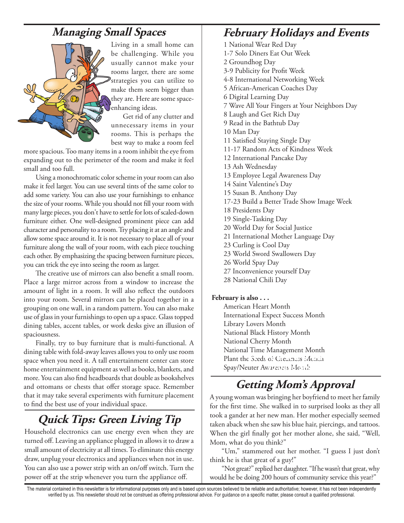## **Managing Small Spaces**



Living in a small home can be challenging. While you usually cannot make your rooms larger, there are some strategies you can utilize to make them seem bigger than they are. Here are some spaceenhancing ideas.

Get rid of any clutter and unnecessary items in your rooms. This is perhaps the best way to make a room feel

more spacious. Too many items in a room inhibit the eye from expanding out to the perimeter of the room and make it feel small and too full.

Using a monochromatic color scheme in your room can also make it feel larger. You can use several tints of the same color to add some variety. You can also use your furnishings to enhance the size of your rooms. While you should not fill your room with many large pieces, you don't have to settle for lots of scaled-down furniture either. One well-designed prominent piece can add character and personality to a room. Try placing it at an angle and allow some space around it. It is not necessary to place all of your furniture along the wall of your room, with each piece touching each other. By emphasizing the spacing between furniture pieces, you can trick the eye into seeing the room as larger.

The creative use of mirrors can also benefit a small room. Place a large mirror across from a window to increase the amount of light in a room. It will also reflect the outdoors into your room. Several mirrors can be placed together in a grouping on one wall, in a random pattern. You can also make use of glass in your furnishings to open up a space. Glass topped dining tables, accent tables, or work desks give an illusion of spaciousness.

Finally, try to buy furniture that is multi-functional. A dining table with fold-away leaves allows you to only use room space when you need it. A tall entertainment center can store home entertainment equipment as well as books, blankets, and more. You can also find headboards that double as bookshelves and ottomans or chests that offer storage space. Remember that it may take several experiments with furniture placement to find the best use of your individual space.

# **Quick Tips: Green Living Tip**

Household electronics can use energy even when they are turned off. Leaving an appliance plugged in allows it to draw a small amount of electricity at all times. To eliminate this energy draw, unplug your electronics and appliances when not in use. You can also use a power strip with an on/off switch. Turn the power off at the strip whenever you turn the appliance off.

## **February Holidays and Events**

1 National Wear Red Day 1-7 Solo Diners Eat Out Week 2 Groundhog Day 3-9 Publicity for Profit Week 4-8 International Networking Week 5 African-American Coaches Day 6 Digital Learning Day 7 Wave All Your Fingers at Your Neighbors Day 8 Laugh and Get Rich Day 9 Read in the Bathtub Day 10 Man Day 11 Satisfied Staying Single Day 11-17 Random Acts of Kindness Week 12 International Pancake Day 13 Ash Wednesday 13 Employee Legal Awareness Day 14 Saint Valentine's Day 15 Susan B. Anthony Day 17-23 Build a Better Trade Show Image Week 18 Presidents Day 19 Single-Tasking Day 20 World Day for Social Justice 21 International Mother Language Day 23 Curling is Cool Day 23 World Sword Swallowers Day 26 World Spay Day 27 Inconvenience yourself Day 28 National Chili Day

### **February is also . . .**

American Heart Month International Expect Success Month Library Lovers Month National Black History Month National Cherry Month National Time Management Month Plant the Seeds of Greatness Month Spay/Neuter Awareness Month *45 days away!*

# **Getting Mom's Approval**

A young woman was bringing her boyfriend to meet her family for the first time. She walked in to surprised looks as they all took a gander at her new man. Her mother especially seemed taken aback when she saw his blue hair, piercings, and tattoos. When the girl finally got her mother alone, she said, "Well, Mom, what do you think?"

"Um," stammered out her mother. "I guess I just don't think he is that great of a guy!"

"Not great?" replied her daughter. "If he wasn't that great, why would he be doing 200 hours of community service this year?"

The material contained in this newsletter is for informational purposes only and is based upon sources believed to be reliable and authoritative; however, it has not been independently verified by us. This newsletter should not be construed as offering professional advice. For guidance on a specific matter, please consult a qualified professional.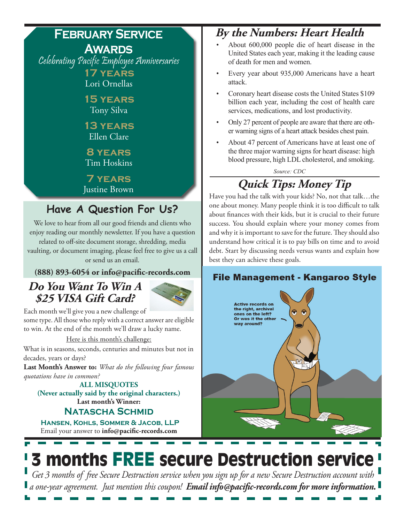# **February Service**

**Awards** Celebrating Pacific Employee Anniversaries **17 years** 

Lori Ornellas

**15 years**  Tony Silva

**13 years**  Ellen Clare

**8 years**  Tim Hoskins

**7 years**  Justine Brown

# **Have A Question For Us?**

We love to hear from all our good friends and clients who enjoy reading our monthly newsletter. If you have a question related to off-site document storage, shredding, media vaulting, or document imaging, please feel free to give us a call or send us an email.

**(888) 893-6054 or info@pacific-records.com**

## **Do You Want To Win A \$25 VISA Gift Card?**



Each month we'll give you a new challenge of

some type. All those who reply with a correct answer are eligible to win. At the end of the month we'll draw a lucky name.

Here is this month's challenge:

What is in seasons, seconds, centuries and minutes but not in decades, years or days?

**Last Month's Answer to:** *What do the following four famous quotations have in common?*

### **Last month's Winner: ALL MISQUOTES (Never actually said by the original characters.)**

### **Natascha Schmid**

Email your answer to **info@pacific-records.com Hansen, Kohls, Sommer & Jacob, LLP**

# **By the Numbers: Heart Health**

- About  $600,000$  people die of heart disease in the United States each year, making it the leading cause of death for men and women.
- Every year about 935,000 Americans have a heart attack.
- Coronary heart disease costs the United States \$109 billion each year, including the cost of health care services, medications, and lost productivity.
- Only 27 percent of people are aware that there are other warning signs of a heart attack besides chest pain.
- About 47 percent of Americans have at least one of the three major warning signs for heart disease: high blood pressure, high LDL cholesterol, and smoking.

*Source: CDC* **Quick Tips: Money Tip**

Have you had the talk with your kids? No, not that talk…the one about money. Many people think it is too difficult to talk about finances with their kids, but it is crucial to their future success. You should explain where your money comes from and why it is important to save for the future. They should also understand how critical it is to pay bills on time and to avoid debt. Start by discussing needs versus wants and explain how best they can achieve these goals.

### **File Management - Kangaroo Style**



# 3 months FREE secure Destruction service

*Get 3 months of free Secure Destruction service when you sign up for a new Secure Destruction account with a one-year agreement. Just mention this coupon! Email info@pacific-records.com for more information.*